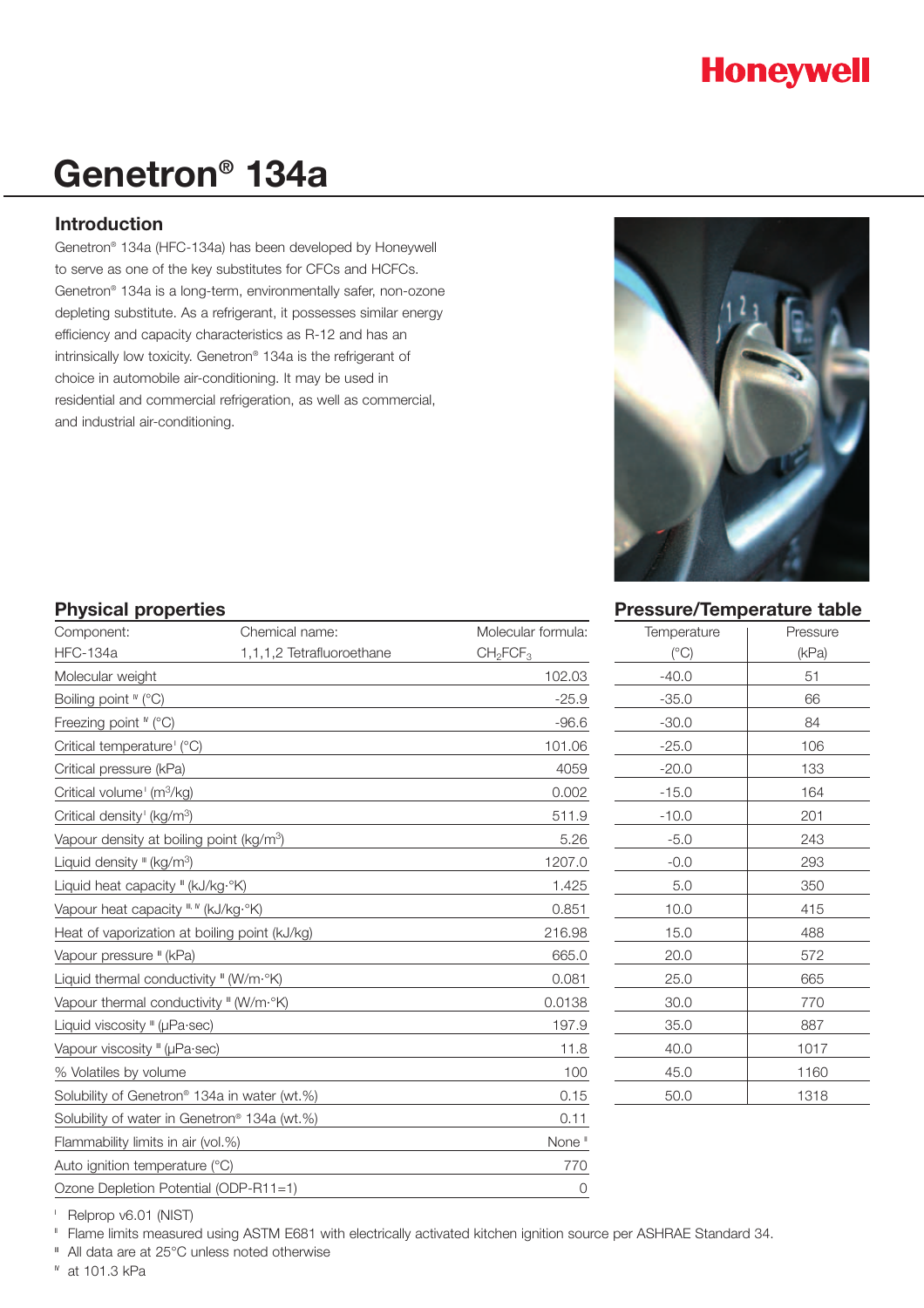# **Honeywell**

# **Genetron® 134a**

## **Introduction**

Genetron® 134a (HFC-134a) has been developed by Honeywell to serve as one of the key substitutes for CFCs and HCFCs. Genetron® 134a is a long-term, environmentally safer, non-ozone depleting substitute. As a refrigerant, it possesses similar energy efficiency and capacity characteristics as R-12 and has an intrinsically low toxicity. Genetron® 134a is the refrigerant of choice in automobile air-conditioning. It may be used in residential and commercial refrigeration, as well as commercial, and industrial air-conditioning.



## **Pressure/Temperature table**

|  | <b>Physical properties</b> |
|--|----------------------------|
|  |                            |

| Component:                                                          | Chemical name:            | Molecular formula:               |
|---------------------------------------------------------------------|---------------------------|----------------------------------|
| <b>HFC-134a</b>                                                     | 1,1,1,2 Tetrafluoroethane | CH <sub>2</sub> FCF <sub>3</sub> |
| Molecular weight                                                    |                           | 102.03                           |
| Boiling point $^{\prime\prime}$ (°C)                                |                           | $-25.9$                          |
| Freezing point $^{\prime\prime}$ (°C)                               |                           | $-96.6$                          |
| Critical temperature <sup>1</sup> (°C)                              |                           | 101.06                           |
| Critical pressure (kPa)                                             |                           | 4059                             |
| Critical volume <sup>1</sup> (m <sup>3</sup> /kg)                   |                           | 0.002                            |
| Critical density' (kg/m <sup>3</sup> )                              |                           | 511.9                            |
| Vapour density at boiling point (kg/m <sup>3</sup> )                |                           | 5.26                             |
| Liquid density $\mathbb{I}$ (kg/m <sup>3</sup> )                    |                           | 1207.0                           |
| Liquid heat capacity $\mathbb{I}$ (kJ/kg $\cdot$ °K)                |                           | 1.425                            |
| Vapour heat capacity $\mathbb{I}$ , $\mathbb{N}$ (kJ/kg $\cdot$ °K) |                           | 0.851                            |
| Heat of vaporization at boiling point (kJ/kg)                       |                           | 216.98                           |
| Vapour pressure " (kPa)                                             |                           | 665.0                            |
| Liquid thermal conductivity $M(W/m \cdot {}^{\circ}K)$              |                           | 0.081                            |
| Vapour thermal conductivity $W(W/m \cdot {}^{\circ}K)$              |                           | 0.0138                           |
| Liquid viscosity " (µPa·sec)                                        |                           | 197.9                            |
| Vapour viscosity " (µPa·sec)                                        |                           | 11.8                             |
| % Volatiles by volume                                               |                           | 100                              |
| Solubility of Genetron <sup>®</sup> 134a in water (wt.%)            |                           | 0.15                             |
| Solubility of water in Genetron® 134a (wt.%)                        |                           | 0.11                             |
| Flammability limits in air (vol.%)                                  |                           | None <sup>®</sup>                |
| Auto ignition temperature (°C)                                      |                           | 770                              |
| Ozone Depletion Potential (ODP-R11=1)                               |                           | 0                                |

| <b>ICOONICI ICIIIDCIALUIC LANIC</b> |          |
|-------------------------------------|----------|
| Temperature                         | Pressure |
| $(^\circ C)$                        | (kPa)    |
| $-40.0$                             | 51       |
| $-35.0$                             | 66       |
| $-30.0$                             | 84       |
| $-25.0$                             | 106      |
| $-20.0$                             | 133      |
| $-15.0$                             | 164      |
| $-10.0$                             | 201      |
| $-5.0$                              | 243      |
| $-0.0$                              | 293      |
| 5.0                                 | 350      |
| 10.0                                | 415      |
| 15.0                                | 488      |
| 20.0                                | 572      |
| 25.0                                | 665      |
| 30.0                                | 770      |
| 35.0                                | 887      |
| 40.0                                | 1017     |
| 45.0                                | 1160     |
| 50.0                                | 1318     |
|                                     |          |

<sup>1</sup> Relprop v6.01 (NIST)

<sup>II</sup> Flame limits measured using ASTM E681 with electrically activated kitchen ignition source per ASHRAE Standard 34.

<sup>■</sup> All data are at 25°C unless noted otherwise

 $N$  at 101.3 kPa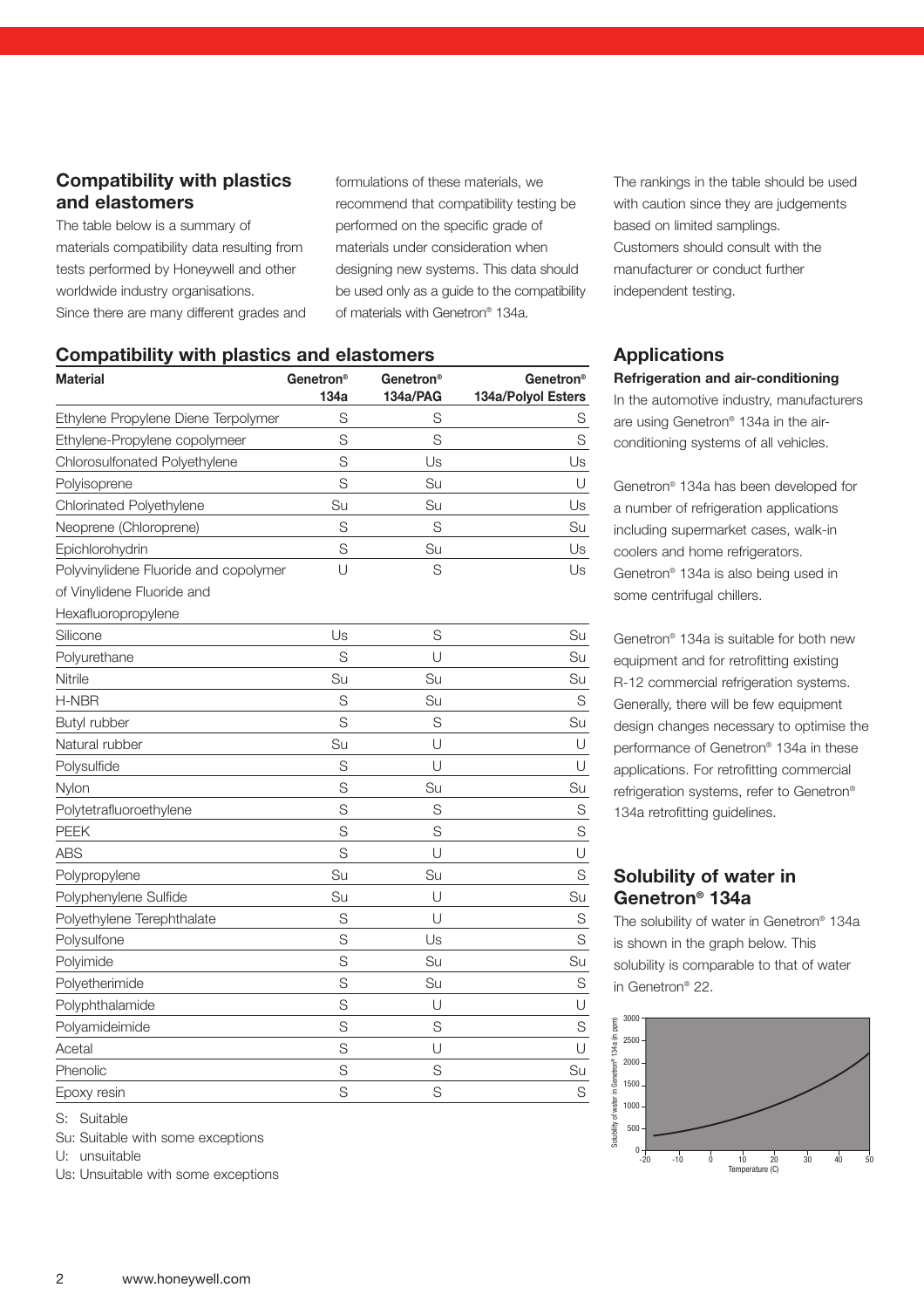## **Compatibility with plastics and elastomers**

The table below is a summary of materials compatibility data resulting from tests performed by Honeywell and other worldwide industry organisations. Since there are many different grades and formulations of these materials, we recommend that compatibility testing be performed on the specific grade of materials under consideration when designing new systems. This data should be used only as a guide to the compatibility of materials with Genetron® 134a.

## **Compatibility with plastics and elastomers**

| <b>Material</b>                       | Genetron®<br>134a | <b>Genetron®</b><br>134a/PAG | <b>Genetron</b> <sup>®</sup><br>134a/Polyol Esters |
|---------------------------------------|-------------------|------------------------------|----------------------------------------------------|
| Ethylene Propylene Diene Terpolymer   | S                 | S                            | S                                                  |
| Ethylene-Propylene copolymeer         | S                 | S                            | S                                                  |
| Chlorosulfonated Polyethylene         | S                 | Us                           | Us                                                 |
| Polyisoprene                          | S                 | Su                           | U                                                  |
| Chlorinated Polyethylene              | Su                | Su                           | Us                                                 |
| Neoprene (Chloroprene)                | S                 | S                            | Su                                                 |
| Epichlorohydrin                       | S                 | Su                           | Us                                                 |
| Polyvinylidene Fluoride and copolymer | U                 | S                            | Us                                                 |
| of Vinylidene Fluoride and            |                   |                              |                                                    |
| Hexafluoropropylene                   |                   |                              |                                                    |
| Silicone                              | Us                | S                            | Su                                                 |
| Polyurethane                          | S                 | U                            | Su                                                 |
| Nitrile                               | Su                | Su                           | Su                                                 |
| H-NBR                                 | S                 | Su                           | S                                                  |
| Butyl rubber                          | S                 | S                            | Su                                                 |
| Natural rubber                        | Su                | U                            | U                                                  |
| Polysulfide                           | S                 | U                            | U                                                  |
| Nylon                                 | S                 | Su                           | Su                                                 |
| Polytetrafluoroethylene               | S                 | S                            | S                                                  |
| PEEK                                  | S                 | S                            | S                                                  |
| <b>ABS</b>                            | S                 | U                            | $\cup$                                             |
| Polypropylene                         | Su                | Su                           | S                                                  |
| Polyphenylene Sulfide                 | Su                | U                            | Su                                                 |
| Polyethylene Terephthalate            | S                 | U                            | S                                                  |
| Polysulfone                           | S                 | Us                           | S                                                  |
| Polyimide                             | S                 | Su                           | Su                                                 |
| Polyetherimide                        | S                 | Su                           | S                                                  |
| Polyphthalamide                       | S                 | U                            | U                                                  |
| Polyamideimide                        | S                 | S                            | S                                                  |
| Acetal                                | S                 | U                            | $\cup$                                             |
| Phenolic                              | S                 | S                            | Su                                                 |
| Epoxy resin                           | S                 | S                            | S                                                  |

S: Suitable

Su: Suitable with some exceptions

U: unsuitable

Us: Unsuitable with some exceptions

The rankings in the table should be used with caution since they are judgements based on limited samplings. Customers should consult with the manufacturer or conduct further independent testing.

## **Applications**

**Refrigeration and air-conditioning**

In the automotive industry, manufacturers are using Genetron® 134a in the airconditioning systems of all vehicles.

Genetron® 134a has been developed for a number of refrigeration applications including supermarket cases, walk-in coolers and home refrigerators. Genetron® 134a is also being used in some centrifugal chillers.

Genetron® 134a is suitable for both new equipment and for retrofitting existing R-12 commercial refrigeration systems. Generally, there will be few equipment design changes necessary to optimise the performance of Genetron® 134a in these applications. For retrofitting commercial refrigeration systems, refer to Genetron® 134a retrofitting guidelines.

## **Solubility of water in Genetron® 134a**

The solubility of water in Genetron® 134a is shown in the graph below. This solubility is comparable to that of water in Genetron® 22.

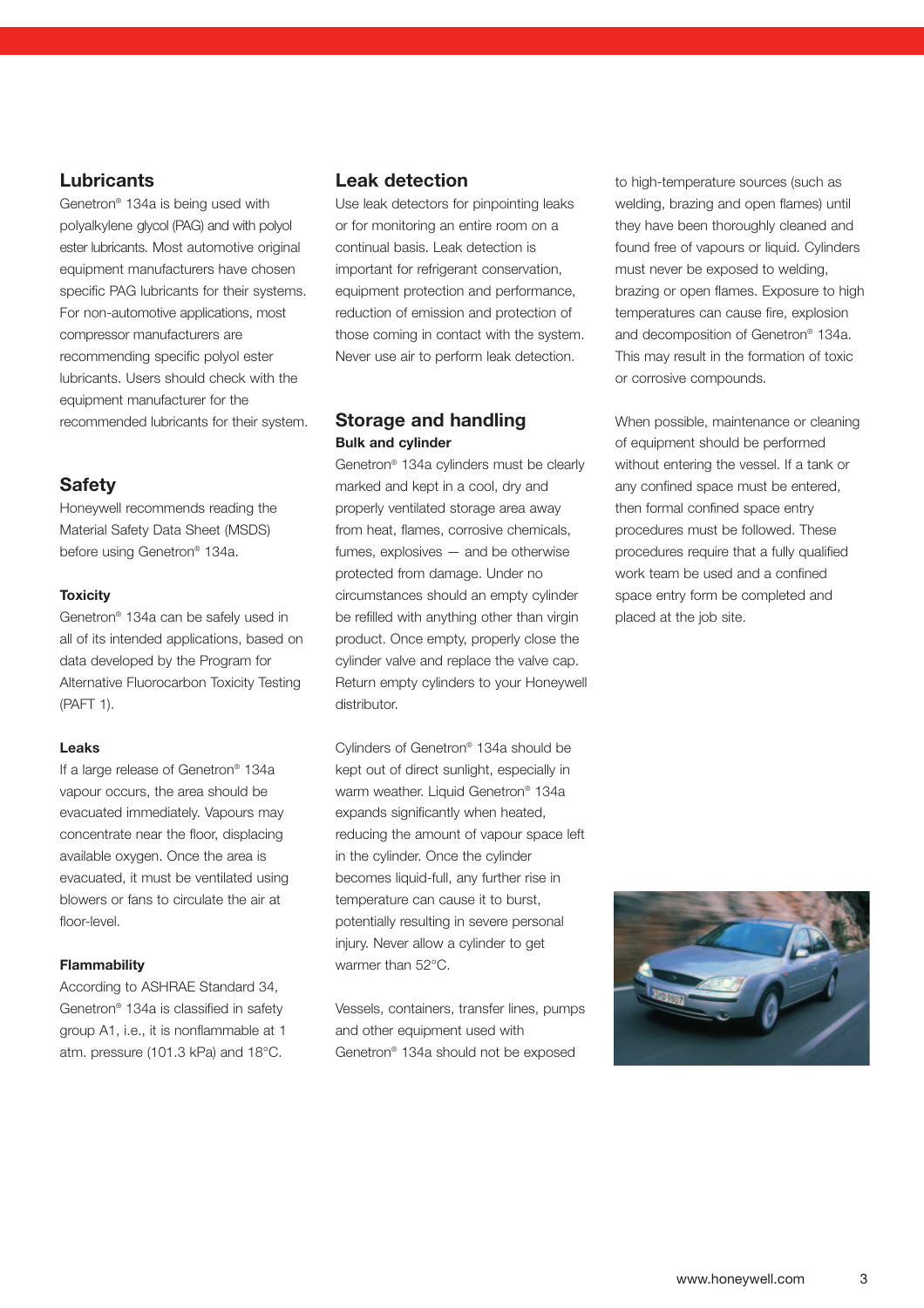## **Lubricants**

Genetron® 134a is being used with polyalkylene glycol (PAG) and with polyol ester lubricants. Most automotive original equipment manufacturers have chosen specific PAG lubricants for their systems. For non-automotive applications, most compressor manufacturers are recommending specific polyol ester lubricants. Users should check with the equipment manufacturer for the recommended lubricants for their system.

## **Safety**

Honeywell recommends reading the Material Safety Data Sheet (MSDS) before using Genetron® 134a.

#### **Toxicity**

Genetron® 134a can be safely used in all of its intended applications, based on data developed by the Program for Alternative Fluorocarbon Toxicity Testing (PAFT 1).

#### **Leaks**

If a large release of Genetron® 134a vapour occurs, the area should be evacuated immediately. Vapours may concentrate near the floor, displacing available oxygen. Once the area is evacuated, it must be ventilated using blowers or fans to circulate the air at floor-level.

#### **Flammability**

According to ASHRAE Standard 34, Genetron® 134a is classified in safety group A1, i.e., it is nonflammable at 1 atm. pressure (101.3 kPa) and 18°C.

## **Leak detection**

Use leak detectors for pinpointing leaks or for monitoring an entire room on a continual basis. Leak detection is important for refrigerant conservation. equipment protection and performance, reduction of emission and protection of those coming in contact with the system. Never use air to perform leak detection.

## **Storage and handling Bulk and cylinder**

Genetron® 134a cylinders must be clearly marked and kept in a cool, dry and properly ventilated storage area away from heat, flames, corrosive chemicals, fumes, explosives — and be otherwise protected from damage. Under no circumstances should an empty cylinder be refilled with anything other than virgin product. Once empty, properly close the cylinder valve and replace the valve cap. Return empty cylinders to your Honeywell distributor.

Cylinders of Genetron® 134a should be kept out of direct sunlight, especially in warm weather. Liquid Genetron® 134a expands significantly when heated, reducing the amount of vapour space left in the cylinder. Once the cylinder becomes liquid-full, any further rise in temperature can cause it to burst, potentially resulting in severe personal injury. Never allow a cylinder to get warmer than 52°C.

Vessels, containers, transfer lines, pumps and other equipment used with Genetron® 134a should not be exposed

to high-temperature sources (such as welding, brazing and open flames) until they have been thoroughly cleaned and found free of vapours or liquid. Cylinders must never be exposed to welding, brazing or open flames. Exposure to high temperatures can cause fire, explosion and decomposition of Genetron® 134a. This may result in the formation of toxic or corrosive compounds.

When possible, maintenance or cleaning of equipment should be performed without entering the vessel. If a tank or any confined space must be entered, then formal confined space entry procedures must be followed. These procedures require that a fully qualified work team be used and a confined space entry form be completed and placed at the job site.